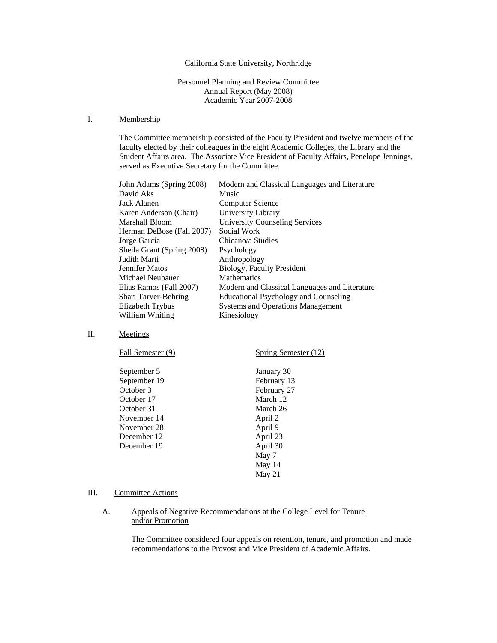## California State University, Northridge

Personnel Planning and Review Committee Annual Report (May 2008) Academic Year 2007-2008

#### I. Membership

The Committee membership consisted of the Faculty President and twelve members of the faculty elected by their colleagues in the eight Academic Colleges, the Library and the Student Affairs area. The Associate Vice President of Faculty Affairs, Penelope Jennings, served as Executive Secretary for the Committee.

| John Adams (Spring 2008)   | Modern and Classical Languages and Literature |
|----------------------------|-----------------------------------------------|
| David Aks                  | Music                                         |
| Jack Alanen                | Computer Science                              |
| Karen Anderson (Chair)     | University Library                            |
| Marshall Bloom             | <b>University Counseling Services</b>         |
| Herman DeBose (Fall 2007)  | Social Work                                   |
| Jorge Garcia               | Chicano/a Studies                             |
| Sheila Grant (Spring 2008) | Psychology                                    |
| Judith Marti               | Anthropology                                  |
| Jennifer Matos             | Biology, Faculty President                    |
| Michael Neubauer           | <b>Mathematics</b>                            |
| Elias Ramos (Fall 2007)    | Modern and Classical Languages and Literature |
| Shari Tarver-Behring       | Educational Psychology and Counseling         |
| Elizabeth Trybus           | <b>Systems and Operations Management</b>      |
| William Whiting            | Kinesiology                                   |
|                            |                                               |

## II. Meetings

| Spring Semester (12) |
|----------------------|
| January 30           |
| February 13          |
| February 27          |
| March 12             |
| March 26             |
| April 2              |
| April 9              |
| April 23             |
| April 30             |
| May 7                |
| May $14$             |
| May 21               |
|                      |

## III. Committee Actions

## A. Appeals of Negative Recommendations at the College Level for Tenure and/or Promotion

The Committee considered four appeals on retention, tenure, and promotion and made recommendations to the Provost and Vice President of Academic Affairs.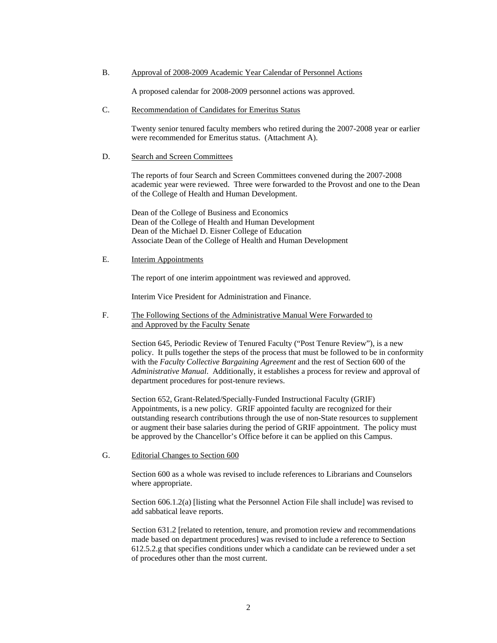B. Approval of 2008-2009 Academic Year Calendar of Personnel Actions

A proposed calendar for 2008-2009 personnel actions was approved.

C. Recommendation of Candidates for Emeritus Status

 Twenty senior tenured faculty members who retired during the 2007-2008 year or earlier were recommended for Emeritus status. (Attachment A).

#### D. Search and Screen Committees

The reports of four Search and Screen Committees convened during the 2007-2008 academic year were reviewed. Three were forwarded to the Provost and one to the Dean of the College of Health and Human Development.

 Dean of the College of Business and Economics Dean of the College of Health and Human Development Dean of the Michael D. Eisner College of Education Associate Dean of the College of Health and Human Development

E. Interim Appointments

The report of one interim appointment was reviewed and approved.

Interim Vice President for Administration and Finance.

F. The Following Sections of the Administrative Manual Were Forwarded to and Approved by the Faculty Senate

> Section 645, Periodic Review of Tenured Faculty ("Post Tenure Review"), is a new policy. It pulls together the steps of the process that must be followed to be in conformity with the *Faculty Collective Bargaining Agreement* and the rest of Section 600 of the *Administrative Manual*. Additionally, it establishes a process for review and approval of department procedures for post-tenure reviews.

Section 652, Grant-Related/Specially-Funded Instructional Faculty (GRIF) Appointments, is a new policy. GRIF appointed faculty are recognized for their outstanding research contributions through the use of non-State resources to supplement or augment their base salaries during the period of GRIF appointment. The policy must be approved by the Chancellor's Office before it can be applied on this Campus.

G. Editorial Changes to Section 600

Section 600 as a whole was revised to include references to Librarians and Counselors where appropriate.

Section 606.1.2(a) [listing what the Personnel Action File shall include] was revised to add sabbatical leave reports.

Section 631.2 [related to retention, tenure, and promotion review and recommendations made based on department procedures] was revised to include a reference to Section 612.5.2.g that specifies conditions under which a candidate can be reviewed under a set of procedures other than the most current.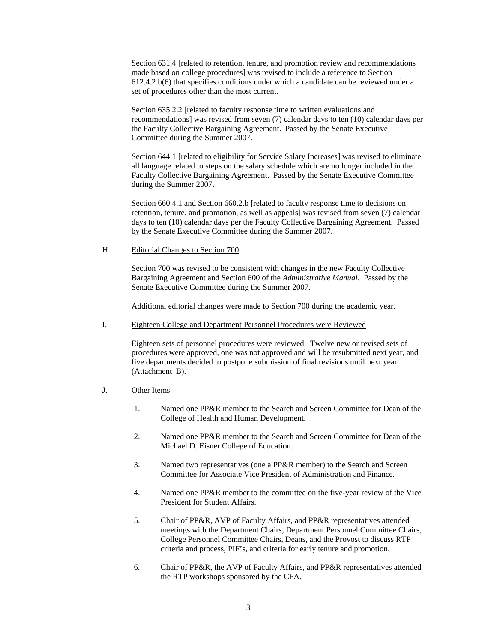Section 631.4 [related to retention, tenure, and promotion review and recommendations made based on college procedures] was revised to include a reference to Section 612.4.2.b(6) that specifies conditions under which a candidate can be reviewed under a set of procedures other than the most current.

Section 635.2.2 [related to faculty response time to written evaluations and recommendations] was revised from seven (7) calendar days to ten (10) calendar days per the Faculty Collective Bargaining Agreement. Passed by the Senate Executive Committee during the Summer 2007.

Section 644.1 [related to eligibility for Service Salary Increases] was revised to eliminate all language related to steps on the salary schedule which are no longer included in the Faculty Collective Bargaining Agreement. Passed by the Senate Executive Committee during the Summer 2007.

Section 660.4.1 and Section 660.2.b [related to faculty response time to decisions on retention, tenure, and promotion, as well as appeals] was revised from seven (7) calendar days to ten (10) calendar days per the Faculty Collective Bargaining Agreement. Passed by the Senate Executive Committee during the Summer 2007.

H. Editorial Changes to Section 700

Section 700 was revised to be consistent with changes in the new Faculty Collective Bargaining Agreement and Section 600 of the *Administrative Manual*. Passed by the Senate Executive Committee during the Summer 2007.

Additional editorial changes were made to Section 700 during the academic year.

I. Eighteen College and Department Personnel Procedures were Reviewed

Eighteen sets of personnel procedures were reviewed. Twelve new or revised sets of procedures were approved, one was not approved and will be resubmitted next year, and five departments decided to postpone submission of final revisions until next year (Attachment B).

- J. Other Items
	- 1. Named one PP&R member to the Search and Screen Committee for Dean of the College of Health and Human Development.
	- 2. Named one PP&R member to the Search and Screen Committee for Dean of the Michael D. Eisner College of Education.
	- 3. Named two representatives (one a PP&R member) to the Search and Screen Committee for Associate Vice President of Administration and Finance.
	- 4. Named one PP&R member to the committee on the five-year review of the Vice President for Student Affairs.
	- 5. Chair of PP&R, AVP of Faculty Affairs, and PP&R representatives attended meetings with the Department Chairs, Department Personnel Committee Chairs, College Personnel Committee Chairs, Deans, and the Provost to discuss RTP criteria and process, PIF's, and criteria for early tenure and promotion.
	- 6. Chair of PP&R, the AVP of Faculty Affairs, and PP&R representatives attended the RTP workshops sponsored by the CFA.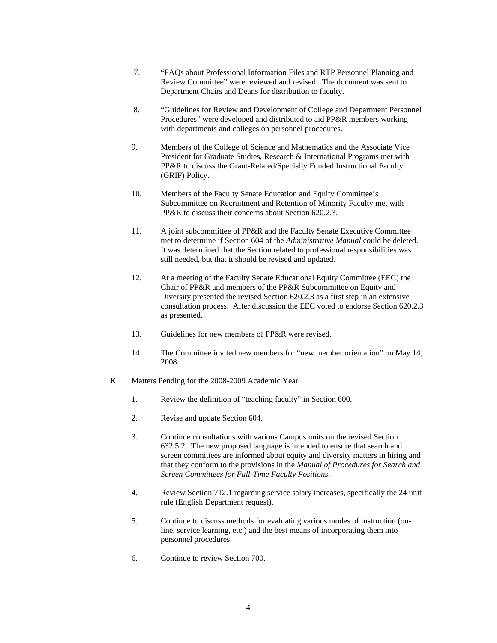- 7. "FAQs about Professional Information Files and RTP Personnel Planning and Review Committee" were reviewed and revised. The document was sent to Department Chairs and Deans for distribution to faculty.
- 8. "Guidelines for Review and Development of College and Department Personnel Procedures" were developed and distributed to aid PP&R members working with departments and colleges on personnel procedures.
- 9. Members of the College of Science and Mathematics and the Associate Vice President for Graduate Studies, Research & International Programs met with PP&R to discuss the Grant-Related/Specially Funded Instructional Faculty (GRIF) Policy.
- 10. Members of the Faculty Senate Education and Equity Committee's Subcommittee on Recruitment and Retention of Minority Faculty met with PP&R to discuss their concerns about Section 620.2.3.
- 11. A joint subcommittee of PP&R and the Faculty Senate Executive Committee met to determine if Section 604 of the *Administrative Manual* could be deleted. It was determined that the Section related to professional responsibilities was still needed, but that it should be revised and updated.
- 12. At a meeting of the Faculty Senate Educational Equity Committee (EEC) the Chair of PP&R and members of the PP&R Subcommittee on Equity and Diversity presented the revised Section 620.2.3 as a first step in an extensive consultation process. After discussion the EEC voted to endorse Section 620.2.3 as presented.
- 13. Guidelines for new members of PP&R were revised.
- 14. The Committee invited new members for "new member orientation" on May 14, 2008.
- K. Matters Pending for the 2008-2009 Academic Year
	- 1. Review the definition of "teaching faculty" in Section 600.
	- 2. Revise and update Section 604.
	- 3. Continue consultations with various Campus units on the revised Section 632.5.2. The new proposed language is intended to ensure that search and screen committees are informed about equity and diversity matters in hiring and that they conform to the provisions in the *Manual of Procedures for Search and Screen Committees for Full-Time Faculty Positions*.
	- 4. Review Section 712.1 regarding service salary increases, specifically the 24 unit rule (English Department request).
	- 5. Continue to discuss methods for evaluating various modes of instruction (online, service learning, etc.) and the best means of incorporating them into personnel procedures.
	- 6. Continue to review Section 700.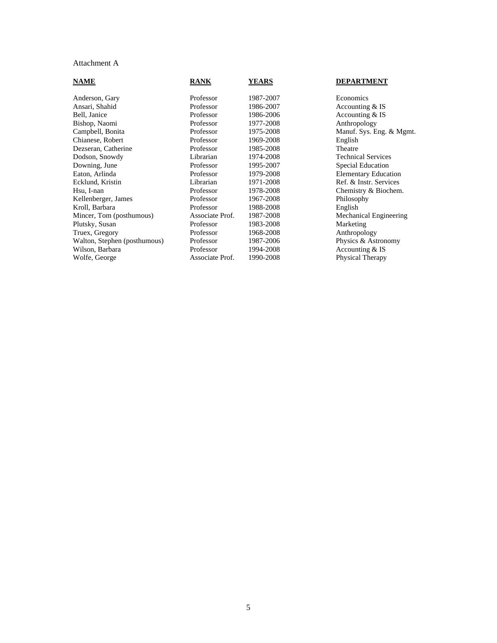# Attachment A

| <b>NAME</b>                  | <b>RANK</b>     | <b>YEARS</b> | <b>DEPARTMENT</b>           |
|------------------------------|-----------------|--------------|-----------------------------|
| Anderson, Gary               | Professor       | 1987-2007    | Economics                   |
| Ansari, Shahid               | Professor       | 1986-2007    | Accounting & IS             |
| Bell, Janice                 | Professor       | 1986-2006    | Accounting & IS             |
| Bishop, Naomi                | Professor       | 1977-2008    | Anthropology                |
| Campbell, Bonita             | Professor       | 1975-2008    | Manuf. Sys. Eng. & Mgmt.    |
| Chianese, Robert             | Professor       | 1969-2008    | English                     |
| Dezseran, Catherine          | Professor       | 1985-2008    | Theatre                     |
| Dodson, Snowdy               | Librarian       | 1974-2008    | <b>Technical Services</b>   |
| Downing, June                | Professor       | 1995-2007    | <b>Special Education</b>    |
| Eaton, Arlinda               | Professor       | 1979-2008    | <b>Elementary Education</b> |
| Ecklund, Kristin             | Librarian       | 1971-2008    | Ref. & Instr. Services      |
| Hsu, I-nan                   | Professor       | 1978-2008    | Chemistry & Biochem.        |
| Kellenberger, James          | Professor       | 1967-2008    | Philosophy                  |
| Kroll, Barbara               | Professor       | 1988-2008    | English                     |
| Mincer, Tom (posthumous)     | Associate Prof. | 1987-2008    | Mechanical Engineering      |
| Plutsky, Susan               | Professor       | 1983-2008    | Marketing                   |
| Truex, Gregory               | Professor       | 1968-2008    | Anthropology                |
| Walton, Stephen (posthumous) | Professor       | 1987-2006    | Physics & Astronomy         |
| Wilson, Barbara              | Professor       | 1994-2008    | Accounting & IS             |
| Wolfe, George                | Associate Prof. | 1990-2008    | Physical Therapy            |